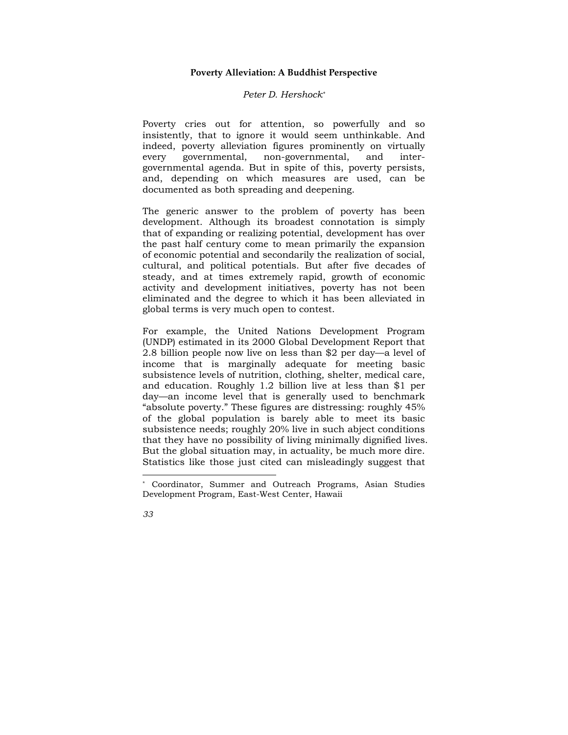## **Poverty Alleviation: A Buddhist Perspective**

#### *Peter D. Hershock\**

Poverty cries out for attention, so powerfully and so insistently, that to ignore it would seem unthinkable. And indeed, poverty alleviation figures prominently on virtually every governmental, non-governmental, and intergovernmental agenda. But in spite of this, poverty persists, and, depending on which measures are used, can be documented as both spreading and deepening.

The generic answer to the problem of poverty has been development. Although its broadest connotation is simply that of expanding or realizing potential, development has over the past half century come to mean primarily the expansion of economic potential and secondarily the realization of social, cultural, and political potentials. But after five decades of steady, and at times extremely rapid, growth of economic activity and development initiatives, poverty has not been eliminated and the degree to which it has been alleviated in global terms is very much open to contest.

For example, the United Nations Development Program (UNDP) estimated in its 2000 Global Development Report that 2.8 billion people now live on less than \$2 per day—a level of income that is marginally adequate for meeting basic subsistence levels of nutrition, clothing, shelter, medical care, and education. Roughly 1.2 billion live at less than \$1 per day—an income level that is generally used to benchmark "absolute poverty." These figures are distressing: roughly 45% of the global population is barely able to meet its basic subsistence needs; roughly 20% live in such abject conditions that they have no possibility of living minimally dignified lives. But the global situation may, in actuality, be much more dire. Statistics like those just cited can misleadingly suggest that

<sup>\*</sup> Coordinator, Summer and Outreach Programs, Asian Studies Development Program, East-West Center, Hawaii

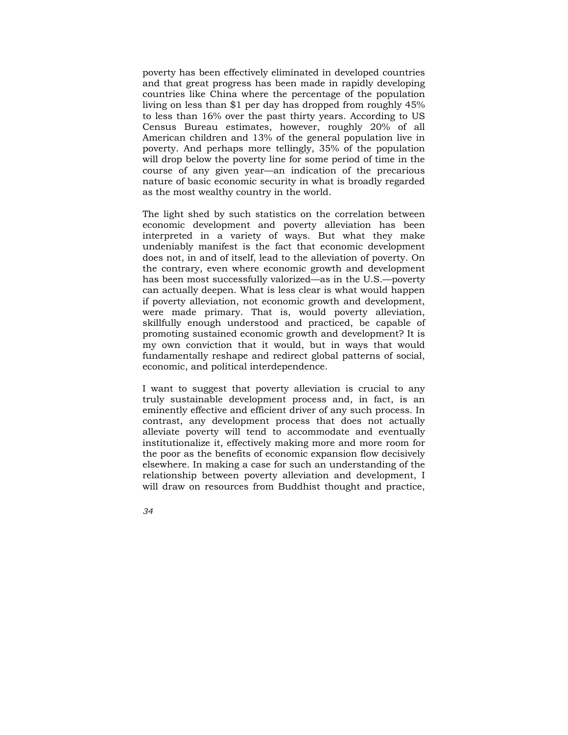poverty has been effectively eliminated in developed countries and that great progress has been made in rapidly developing countries like China where the percentage of the population living on less than \$1 per day has dropped from roughly 45% to less than 16% over the past thirty years. According to US Census Bureau estimates, however, roughly 20% of all American children and 13% of the general population live in poverty. And perhaps more tellingly, 35% of the population will drop below the poverty line for some period of time in the course of any given year—an indication of the precarious nature of basic economic security in what is broadly regarded as the most wealthy country in the world.

The light shed by such statistics on the correlation between economic development and poverty alleviation has been interpreted in a variety of ways. But what they make undeniably manifest is the fact that economic development does not, in and of itself, lead to the alleviation of poverty. On the contrary, even where economic growth and development has been most successfully valorized—as in the U.S.—poverty can actually deepen. What is less clear is what would happen if poverty alleviation, not economic growth and development, were made primary. That is, would poverty alleviation, skillfully enough understood and practiced, be capable of promoting sustained economic growth and development? It is my own conviction that it would, but in ways that would fundamentally reshape and redirect global patterns of social, economic, and political interdependence.

I want to suggest that poverty alleviation is crucial to any truly sustainable development process and, in fact, is an eminently effective and efficient driver of any such process. In contrast, any development process that does not actually alleviate poverty will tend to accommodate and eventually institutionalize it, effectively making more and more room for the poor as the benefits of economic expansion flow decisively elsewhere. In making a case for such an understanding of the relationship between poverty alleviation and development, I will draw on resources from Buddhist thought and practice,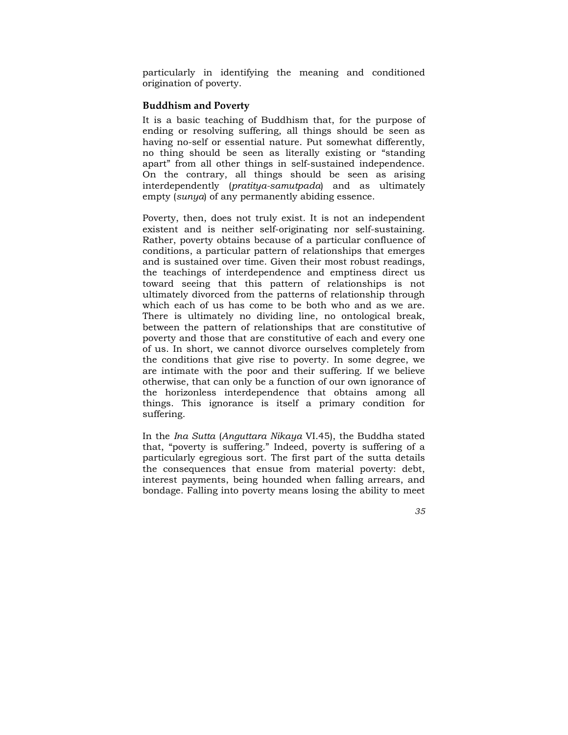particularly in identifying the meaning and conditioned origination of poverty.

# **Buddhism and Poverty**

It is a basic teaching of Buddhism that, for the purpose of ending or resolving suffering, all things should be seen as having no-self or essential nature. Put somewhat differently, no thing should be seen as literally existing or "standing apart" from all other things in self-sustained independence. On the contrary, all things should be seen as arising interdependently (*pratitya-samutpada*) and as ultimately empty (*sunya*) of any permanently abiding essence.

Poverty, then, does not truly exist. It is not an independent existent and is neither self-originating nor self-sustaining. Rather, poverty obtains because of a particular confluence of conditions, a particular pattern of relationships that emerges and is sustained over time. Given their most robust readings, the teachings of interdependence and emptiness direct us toward seeing that this pattern of relationships is not ultimately divorced from the patterns of relationship through which each of us has come to be both who and as we are. There is ultimately no dividing line, no ontological break, between the pattern of relationships that are constitutive of poverty and those that are constitutive of each and every one of us. In short, we cannot divorce ourselves completely from the conditions that give rise to poverty. In some degree, we are intimate with the poor and their suffering. If we believe otherwise, that can only be a function of our own ignorance of the horizonless interdependence that obtains among all things. This ignorance is itself a primary condition for suffering.

In the *Ina Sutta* (*Anguttara Nikaya* VI.45), the Buddha stated that, "poverty is suffering." Indeed, poverty is suffering of a particularly egregious sort. The first part of the sutta details the consequences that ensue from material poverty: debt, interest payments, being hounded when falling arrears, and bondage. Falling into poverty means losing the ability to meet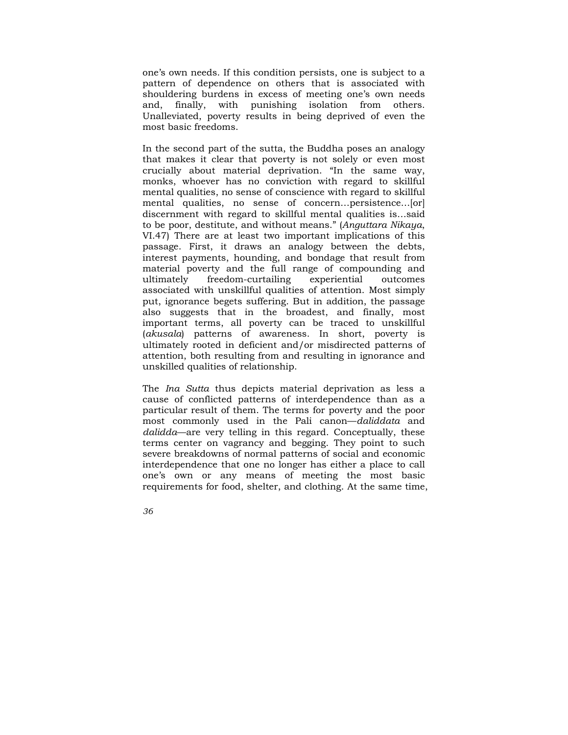one's own needs. If this condition persists, one is subject to a pattern of dependence on others that is associated with shouldering burdens in excess of meeting one's own needs and, finally, with punishing isolation from others. Unalleviated, poverty results in being deprived of even the most basic freedoms.

In the second part of the sutta, the Buddha poses an analogy that makes it clear that poverty is not solely or even most crucially about material deprivation. "In the same way, monks, whoever has no conviction with regard to skillful mental qualities, no sense of conscience with regard to skillful mental qualities, no sense of concern...persistence...[or] discernment with regard to skillful mental qualities is…said to be poor, destitute, and without means." (*Anguttara Nikaya*, VI.47) There are at least two important implications of this passage. First, it draws an analogy between the debts, interest payments, hounding, and bondage that result from material poverty and the full range of compounding and ultimately freedom-curtailing experiential outcomes associated with unskillful qualities of attention. Most simply put, ignorance begets suffering. But in addition, the passage also suggests that in the broadest, and finally, most important terms, all poverty can be traced to unskillful (*akusala*) patterns of awareness. In short, poverty is ultimately rooted in deficient and/or misdirected patterns of attention, both resulting from and resulting in ignorance and unskilled qualities of relationship.

The *Ina Sutta* thus depicts material deprivation as less a cause of conflicted patterns of interdependence than as a particular result of them. The terms for poverty and the poor most commonly used in the Pali canon—*daliddata* and *dalidda*—are very telling in this regard. Conceptually, these terms center on vagrancy and begging. They point to such severe breakdowns of normal patterns of social and economic interdependence that one no longer has either a place to call one's own or any means of meeting the most basic requirements for food, shelter, and clothing. At the same time,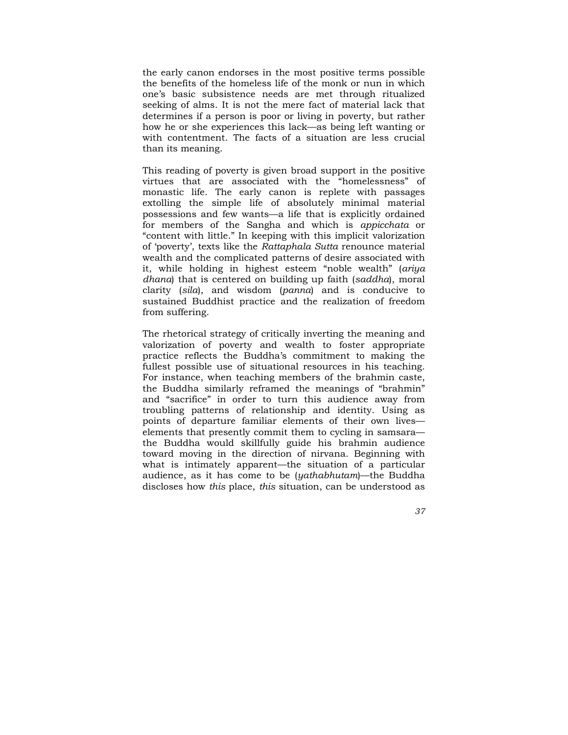the early canon endorses in the most positive terms possible the benefits of the homeless life of the monk or nun in which one's basic subsistence needs are met through ritualized seeking of alms. It is not the mere fact of material lack that determines if a person is poor or living in poverty, but rather how he or she experiences this lack—as being left wanting or with contentment. The facts of a situation are less crucial than its meaning.

This reading of poverty is given broad support in the positive virtues that are associated with the "homelessness" of monastic life. The early canon is replete with passages extolling the simple life of absolutely minimal material possessions and few wants—a life that is explicitly ordained for members of the Sangha and which is *appicchata* or "content with little." In keeping with this implicit valorization of 'poverty', texts like the *Rattaphala Sutta* renounce material wealth and the complicated patterns of desire associated with it, while holding in highest esteem "noble wealth" (*ariya dhana*) that is centered on building up faith (*saddha*), moral clarity (*sila*), and wisdom (*panna*) and is conducive to sustained Buddhist practice and the realization of freedom from suffering.

The rhetorical strategy of critically inverting the meaning and valorization of poverty and wealth to foster appropriate practice reflects the Buddha's commitment to making the fullest possible use of situational resources in his teaching. For instance, when teaching members of the brahmin caste, the Buddha similarly reframed the meanings of "brahmin" and "sacrifice" in order to turn this audience away from troubling patterns of relationship and identity. Using as points of departure familiar elements of their own lives elements that presently commit them to cycling in samsara the Buddha would skillfully guide his brahmin audience toward moving in the direction of nirvana. Beginning with what is intimately apparent—the situation of a particular audience, as it has come to be (*yathabhutam*)—the Buddha discloses how *this* place, *this* situation, can be understood as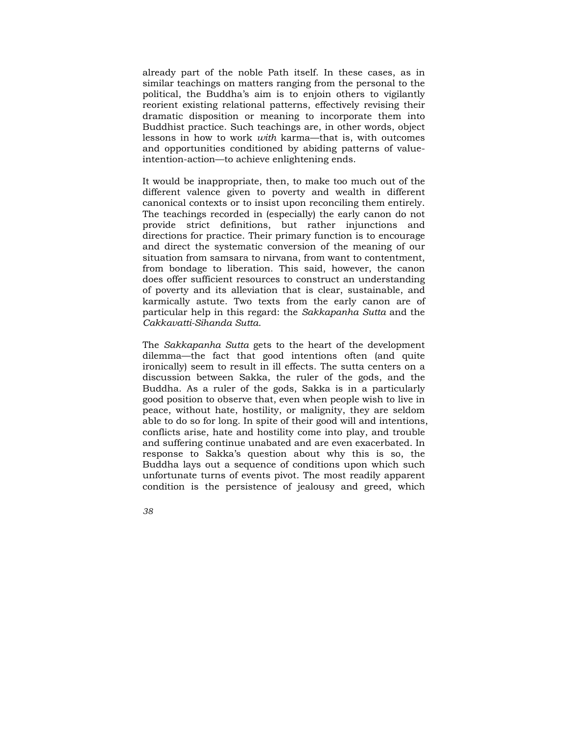already part of the noble Path itself. In these cases, as in similar teachings on matters ranging from the personal to the political, the Buddha's aim is to enjoin others to vigilantly reorient existing relational patterns, effectively revising their dramatic disposition or meaning to incorporate them into Buddhist practice. Such teachings are, in other words, object lessons in how to work *with* karma—that is, with outcomes and opportunities conditioned by abiding patterns of valueintention-action—to achieve enlightening ends.

It would be inappropriate, then, to make too much out of the different valence given to poverty and wealth in different canonical contexts or to insist upon reconciling them entirely. The teachings recorded in (especially) the early canon do not provide strict definitions, but rather injunctions and directions for practice. Their primary function is to encourage and direct the systematic conversion of the meaning of our situation from samsara to nirvana, from want to contentment, from bondage to liberation. This said, however, the canon does offer sufficient resources to construct an understanding of poverty and its alleviation that is clear, sustainable, and karmically astute. Two texts from the early canon are of particular help in this regard: the *Sakkapanha Sutta* and the *Cakkavatti-Sihanda Sutta*.

The *Sakkapanha Sutta* gets to the heart of the development dilemma—the fact that good intentions often (and quite ironically) seem to result in ill effects. The sutta centers on a discussion between Sakka, the ruler of the gods, and the Buddha. As a ruler of the gods, Sakka is in a particularly good position to observe that, even when people wish to live in peace, without hate, hostility, or malignity, they are seldom able to do so for long. In spite of their good will and intentions, conflicts arise, hate and hostility come into play, and trouble and suffering continue unabated and are even exacerbated. In response to Sakka's question about why this is so, the Buddha lays out a sequence of conditions upon which such unfortunate turns of events pivot. The most readily apparent condition is the persistence of jealousy and greed, which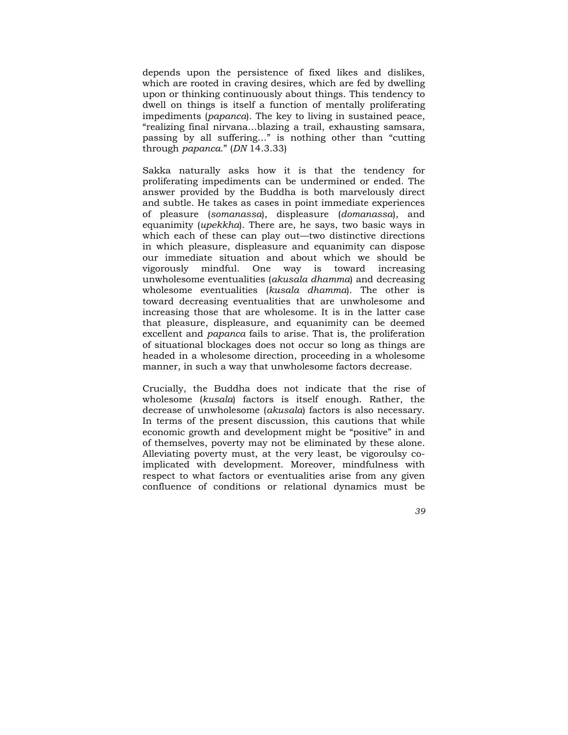depends upon the persistence of fixed likes and dislikes, which are rooted in craving desires, which are fed by dwelling upon or thinking continuously about things. This tendency to dwell on things is itself a function of mentally proliferating impediments (*papanca*). The key to living in sustained peace, "realizing final nirvana…blazing a trail, exhausting samsara, passing by all suffering…" is nothing other than "cutting through *papanca*." (*DN* 14.3.33)

Sakka naturally asks how it is that the tendency for proliferating impediments can be undermined or ended. The answer provided by the Buddha is both marvelously direct and subtle. He takes as cases in point immediate experiences of pleasure (*somanassa*), displeasure (*domanassa*), and equanimity (*upekkha*). There are, he says, two basic ways in which each of these can play out—two distinctive directions in which pleasure, displeasure and equanimity can dispose our immediate situation and about which we should be vigorously mindful. One way is toward increasing unwholesome eventualities (*akusala dhamma*) and decreasing wholesome eventualities (*kusala dhamma*). The other is toward decreasing eventualities that are unwholesome and increasing those that are wholesome. It is in the latter case that pleasure, displeasure, and equanimity can be deemed excellent and *papanca* fails to arise. That is, the proliferation of situational blockages does not occur so long as things are headed in a wholesome direction, proceeding in a wholesome manner, in such a way that unwholesome factors decrease.

Crucially, the Buddha does not indicate that the rise of wholesome (*kusala*) factors is itself enough. Rather, the decrease of unwholesome (*akusala*) factors is also necessary. In terms of the present discussion, this cautions that while economic growth and development might be "positive" in and of themselves, poverty may not be eliminated by these alone. Alleviating poverty must, at the very least, be vigoroulsy coimplicated with development. Moreover, mindfulness with respect to what factors or eventualities arise from any given confluence of conditions or relational dynamics must be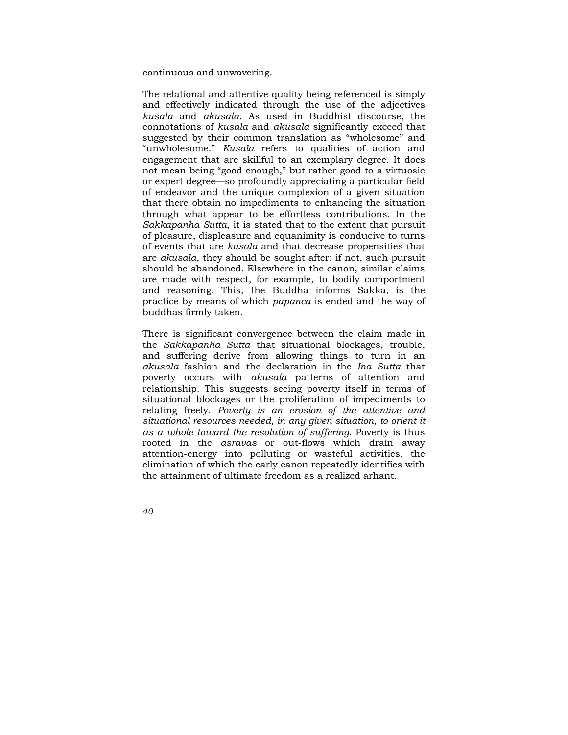continuous and unwavering.

The relational and attentive quality being referenced is simply and effectively indicated through the use of the adjectives *kusala* and *akusala*. As used in Buddhist discourse, the connotations of *kusala* and *akusala* significantly exceed that suggested by their common translation as "wholesome" and "unwholesome." *Kusala* refers to qualities of action and engagement that are skillful to an exemplary degree. It does not mean being "good enough," but rather good to a virtuosic or expert degree—so profoundly appreciating a particular field of endeavor and the unique complexion of a given situation that there obtain no impediments to enhancing the situation through what appear to be effortless contributions. In the *Sakkapanha Sutta*, it is stated that to the extent that pursuit of pleasure, displeasure and equanimity is conducive to turns of events that are *kusala* and that decrease propensities that are *akusala*, they should be sought after; if not, such pursuit should be abandoned. Elsewhere in the canon, similar claims are made with respect, for example, to bodily comportment and reasoning. This, the Buddha informs Sakka, is the practice by means of which *papanca* is ended and the way of buddhas firmly taken.

There is significant convergence between the claim made in the *Sakkapanha Sutta* that situational blockages, trouble, and suffering derive from allowing things to turn in an *akusala* fashion and the declaration in the *Ina Sutta* that poverty occurs with *akusala* patterns of attention and relationship. This suggests seeing poverty itself in terms of situational blockages or the proliferation of impediments to relating freely. *Poverty is an erosion of the attentive and situational resources needed, in any given situation, to orient it as a whole toward the resolution of suffering.* Poverty is thus rooted in the *asravas* or out-flows which drain away attention-energy into polluting or wasteful activities, the elimination of which the early canon repeatedly identifies with the attainment of ultimate freedom as a realized arhant.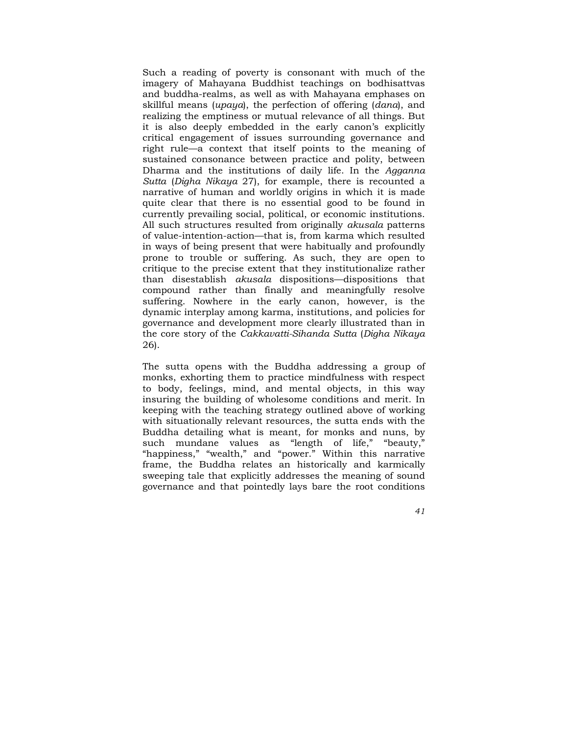Such a reading of poverty is consonant with much of the imagery of Mahayana Buddhist teachings on bodhisattvas and buddha-realms, as well as with Mahayana emphases on skillful means (*upaya*), the perfection of offering (*dana*), and realizing the emptiness or mutual relevance of all things. But it is also deeply embedded in the early canon's explicitly critical engagement of issues surrounding governance and right rule—a context that itself points to the meaning of sustained consonance between practice and polity, between Dharma and the institutions of daily life. In the *Agganna Sutta* (*Digha Nikaya* 27), for example, there is recounted a narrative of human and worldly origins in which it is made quite clear that there is no essential good to be found in currently prevailing social, political, or economic institutions. All such structures resulted from originally *akusala* patterns of value-intention-action—that is, from karma which resulted in ways of being present that were habitually and profoundly prone to trouble or suffering. As such, they are open to critique to the precise extent that they institutionalize rather than disestablish *akusala* dispositions—dispositions that compound rather than finally and meaningfully resolve suffering. Nowhere in the early canon, however, is the dynamic interplay among karma, institutions, and policies for governance and development more clearly illustrated than in the core story of the *Cakkavatti-Sihanda Sutta* (*Digha Nikaya* 26).

The sutta opens with the Buddha addressing a group of monks, exhorting them to practice mindfulness with respect to body, feelings, mind, and mental objects, in this way insuring the building of wholesome conditions and merit. In keeping with the teaching strategy outlined above of working with situationally relevant resources, the sutta ends with the Buddha detailing what is meant, for monks and nuns, by such mundane values as "length of life," "beauty," "happiness," "wealth," and "power." Within this narrative frame, the Buddha relates an historically and karmically sweeping tale that explicitly addresses the meaning of sound governance and that pointedly lays bare the root conditions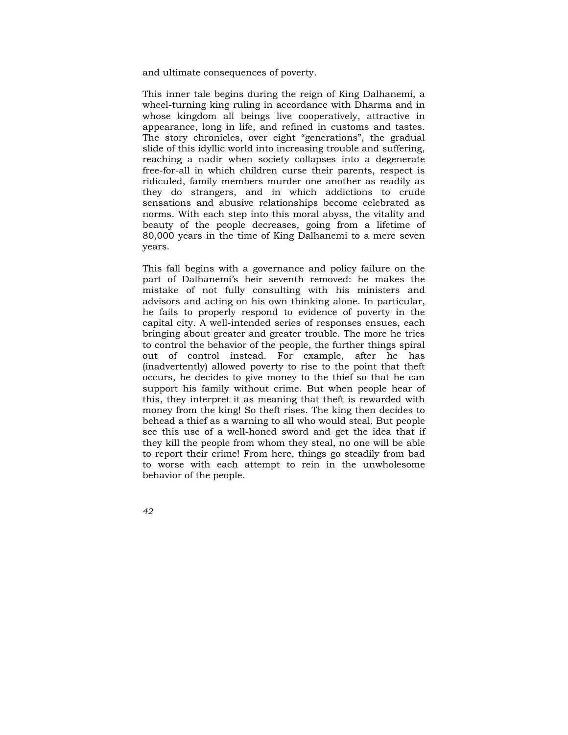and ultimate consequences of poverty.

This inner tale begins during the reign of King Dalhanemi, a wheel-turning king ruling in accordance with Dharma and in whose kingdom all beings live cooperatively, attractive in appearance, long in life, and refined in customs and tastes. The story chronicles, over eight "generations", the gradual slide of this idyllic world into increasing trouble and suffering, reaching a nadir when society collapses into a degenerate free-for-all in which children curse their parents, respect is ridiculed, family members murder one another as readily as they do strangers, and in which addictions to crude sensations and abusive relationships become celebrated as norms. With each step into this moral abyss, the vitality and beauty of the people decreases, going from a lifetime of 80,000 years in the time of King Dalhanemi to a mere seven years.

This fall begins with a governance and policy failure on the part of Dalhanemi's heir seventh removed: he makes the mistake of not fully consulting with his ministers and advisors and acting on his own thinking alone. In particular, he fails to properly respond to evidence of poverty in the capital city. A well-intended series of responses ensues, each bringing about greater and greater trouble. The more he tries to control the behavior of the people, the further things spiral out of control instead. For example, after he has (inadvertently) allowed poverty to rise to the point that theft occurs, he decides to give money to the thief so that he can support his family without crime. But when people hear of this, they interpret it as meaning that theft is rewarded with money from the king! So theft rises. The king then decides to behead a thief as a warning to all who would steal. But people see this use of a well-honed sword and get the idea that if they kill the people from whom they steal, no one will be able to report their crime! From here, things go steadily from bad to worse with each attempt to rein in the unwholesome behavior of the people.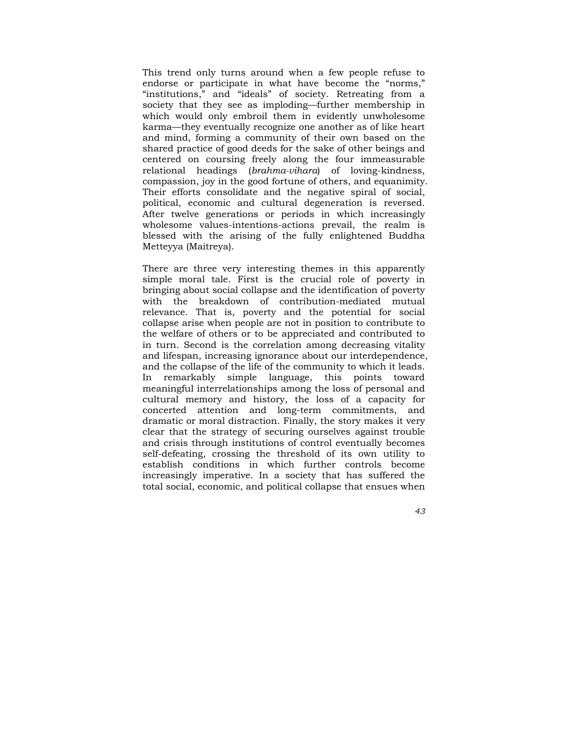This trend only turns around when a few people refuse to endorse or participate in what have become the "norms," "institutions," and "ideals" of society. Retreating from a society that they see as imploding—further membership in which would only embroil them in evidently unwholesome karma—they eventually recognize one another as of like heart and mind, forming a community of their own based on the shared practice of good deeds for the sake of other beings and centered on coursing freely along the four immeasurable relational headings (*brahma-vihara*) of loving-kindness, compassion, joy in the good fortune of others, and equanimity. Their efforts consolidate and the negative spiral of social, political, economic and cultural degeneration is reversed. After twelve generations or periods in which increasingly wholesome values-intentions-actions prevail, the realm is blessed with the arising of the fully enlightened Buddha Metteyya (Maitreya).

There are three very interesting themes in this apparently simple moral tale. First is the crucial role of poverty in bringing about social collapse and the identification of poverty with the breakdown of contribution-mediated mutual relevance. That is, poverty and the potential for social collapse arise when people are not in position to contribute to the welfare of others or to be appreciated and contributed to in turn. Second is the correlation among decreasing vitality and lifespan, increasing ignorance about our interdependence, and the collapse of the life of the community to which it leads. In remarkably simple language, this points toward meaningful interrelationships among the loss of personal and cultural memory and history, the loss of a capacity for concerted attention and long-term commitments, and dramatic or moral distraction. Finally, the story makes it very clear that the strategy of securing ourselves against trouble and crisis through institutions of control eventually becomes self-defeating, crossing the threshold of its own utility to establish conditions in which further controls become increasingly imperative. In a society that has suffered the total social, economic, and political collapse that ensues when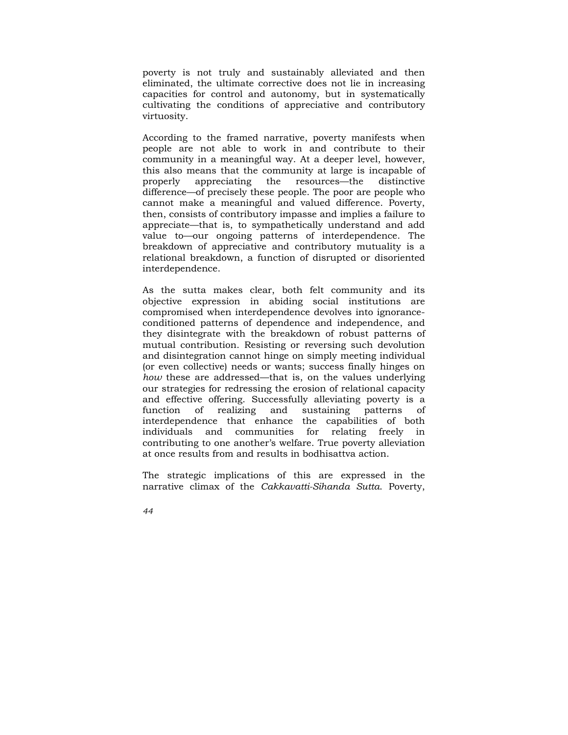poverty is not truly and sustainably alleviated and then eliminated, the ultimate corrective does not lie in increasing capacities for control and autonomy, but in systematically cultivating the conditions of appreciative and contributory virtuosity.

According to the framed narrative, poverty manifests when people are not able to work in and contribute to their community in a meaningful way. At a deeper level, however, this also means that the community at large is incapable of properly appreciating the resources—the distinctive difference—of precisely these people. The poor are people who cannot make a meaningful and valued difference. Poverty, then, consists of contributory impasse and implies a failure to appreciate—that is, to sympathetically understand and add value to—our ongoing patterns of interdependence. The breakdown of appreciative and contributory mutuality is a relational breakdown, a function of disrupted or disoriented interdependence.

As the sutta makes clear, both felt community and its objective expression in abiding social institutions are compromised when interdependence devolves into ignoranceconditioned patterns of dependence and independence, and they disintegrate with the breakdown of robust patterns of mutual contribution. Resisting or reversing such devolution and disintegration cannot hinge on simply meeting individual (or even collective) needs or wants; success finally hinges on *how* these are addressed—that is, on the values underlying our strategies for redressing the erosion of relational capacity and effective offering. Successfully alleviating poverty is a function of realizing and sustaining patterns of interdependence that enhance the capabilities of both individuals and communities for relating freely in contributing to one another's welfare. True poverty alleviation at once results from and results in bodhisattva action.

The strategic implications of this are expressed in the narrative climax of the *Cakkavatti-Sihanda Sutta*. Poverty,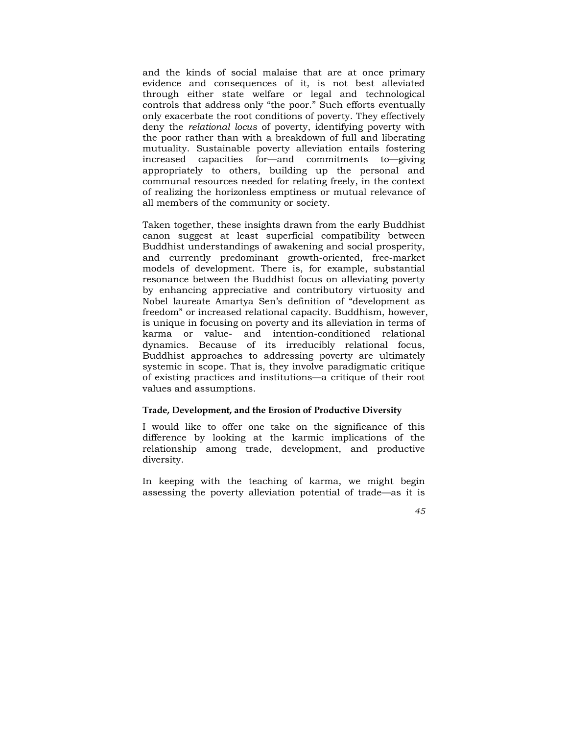and the kinds of social malaise that are at once primary evidence and consequences of it, is not best alleviated through either state welfare or legal and technological controls that address only "the poor." Such efforts eventually only exacerbate the root conditions of poverty. They effectively deny the *relational locus* of poverty, identifying poverty with the poor rather than with a breakdown of full and liberating mutuality. Sustainable poverty alleviation entails fostering increased capacities for—and commitments to—giving appropriately to others, building up the personal and communal resources needed for relating freely, in the context of realizing the horizonless emptiness or mutual relevance of all members of the community or society.

Taken together, these insights drawn from the early Buddhist canon suggest at least superficial compatibility between Buddhist understandings of awakening and social prosperity, and currently predominant growth-oriented, free-market models of development. There is, for example, substantial resonance between the Buddhist focus on alleviating poverty by enhancing appreciative and contributory virtuosity and Nobel laureate Amartya Sen's definition of "development as freedom" or increased relational capacity. Buddhism, however, is unique in focusing on poverty and its alleviation in terms of karma or value- and intention-conditioned relational dynamics. Because of its irreducibly relational focus, Buddhist approaches to addressing poverty are ultimately systemic in scope. That is, they involve paradigmatic critique of existing practices and institutions—a critique of their root values and assumptions.

### **Trade, Development, and the Erosion of Productive Diversity**

I would like to offer one take on the significance of this difference by looking at the karmic implications of the relationship among trade, development, and productive diversity.

In keeping with the teaching of karma, we might begin assessing the poverty alleviation potential of trade—as it is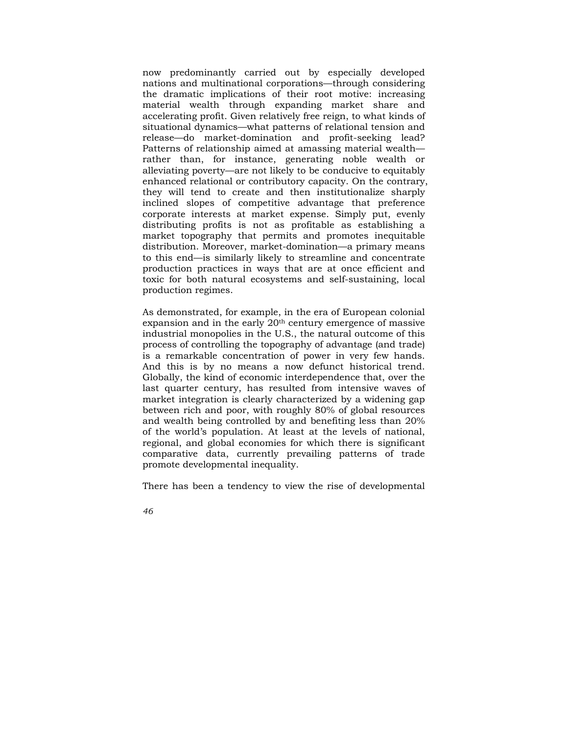now predominantly carried out by especially developed nations and multinational corporations—through considering the dramatic implications of their root motive: increasing material wealth through expanding market share and accelerating profit. Given relatively free reign, to what kinds of situational dynamics—what patterns of relational tension and release—do market-domination and profit-seeking lead? Patterns of relationship aimed at amassing material wealth rather than, for instance, generating noble wealth or alleviating poverty—are not likely to be conducive to equitably enhanced relational or contributory capacity. On the contrary, they will tend to create and then institutionalize sharply inclined slopes of competitive advantage that preference corporate interests at market expense. Simply put, evenly distributing profits is not as profitable as establishing a market topography that permits and promotes inequitable distribution. Moreover, market-domination—a primary means to this end—is similarly likely to streamline and concentrate production practices in ways that are at once efficient and toxic for both natural ecosystems and self-sustaining, local production regimes.

As demonstrated, for example, in the era of European colonial expansion and in the early 20<sup>th</sup> century emergence of massive industrial monopolies in the U.S., the natural outcome of this process of controlling the topography of advantage (and trade) is a remarkable concentration of power in very few hands. And this is by no means a now defunct historical trend. Globally, the kind of economic interdependence that, over the last quarter century, has resulted from intensive waves of market integration is clearly characterized by a widening gap between rich and poor, with roughly 80% of global resources and wealth being controlled by and benefiting less than 20% of the world's population. At least at the levels of national, regional, and global economies for which there is significant comparative data, currently prevailing patterns of trade promote developmental inequality.

There has been a tendency to view the rise of developmental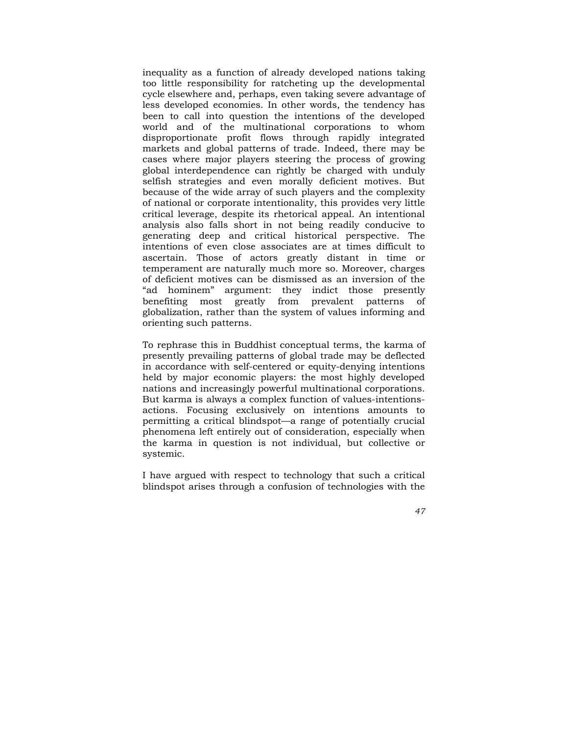inequality as a function of already developed nations taking too little responsibility for ratcheting up the developmental cycle elsewhere and, perhaps, even taking severe advantage of less developed economies. In other words, the tendency has been to call into question the intentions of the developed world and of the multinational corporations to whom disproportionate profit flows through rapidly integrated markets and global patterns of trade. Indeed, there may be cases where major players steering the process of growing global interdependence can rightly be charged with unduly selfish strategies and even morally deficient motives. But because of the wide array of such players and the complexity of national or corporate intentionality, this provides very little critical leverage, despite its rhetorical appeal. An intentional analysis also falls short in not being readily conducive to generating deep and critical historical perspective. The intentions of even close associates are at times difficult to ascertain. Those of actors greatly distant in time or temperament are naturally much more so. Moreover, charges of deficient motives can be dismissed as an inversion of the "ad hominem" argument: they indict those presently benefiting most greatly from prevalent patterns of globalization, rather than the system of values informing and orienting such patterns.

To rephrase this in Buddhist conceptual terms, the karma of presently prevailing patterns of global trade may be deflected in accordance with self-centered or equity-denying intentions held by major economic players: the most highly developed nations and increasingly powerful multinational corporations. But karma is always a complex function of values-intentionsactions. Focusing exclusively on intentions amounts to permitting a critical blindspot—a range of potentially crucial phenomena left entirely out of consideration, especially when the karma in question is not individual, but collective or systemic.

I have argued with respect to technology that such a critical blindspot arises through a confusion of technologies with the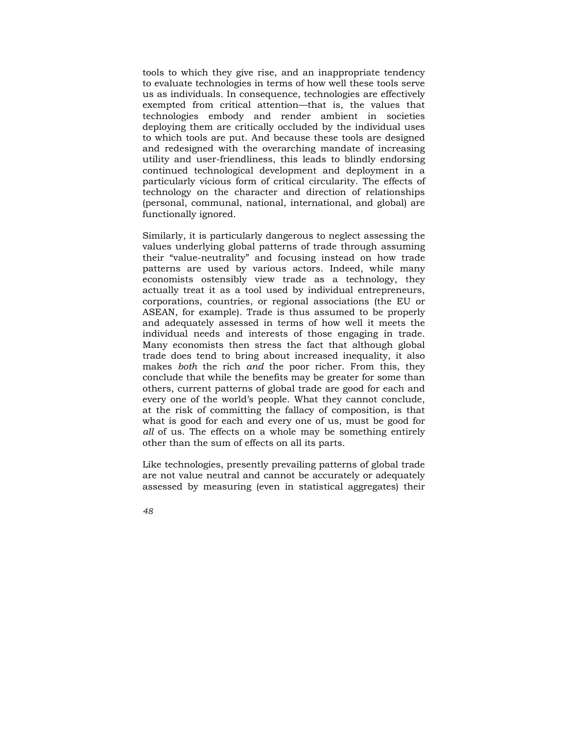tools to which they give rise, and an inappropriate tendency to evaluate technologies in terms of how well these tools serve us as individuals. In consequence, technologies are effectively exempted from critical attention—that is, the values that technologies embody and render ambient in societies deploying them are critically occluded by the individual uses to which tools are put. And because these tools are designed and redesigned with the overarching mandate of increasing utility and user-friendliness, this leads to blindly endorsing continued technological development and deployment in a particularly vicious form of critical circularity. The effects of technology on the character and direction of relationships (personal, communal, national, international, and global) are functionally ignored.

Similarly, it is particularly dangerous to neglect assessing the values underlying global patterns of trade through assuming their "value-neutrality" and focusing instead on how trade patterns are used by various actors. Indeed, while many economists ostensibly view trade as a technology, they actually treat it as a tool used by individual entrepreneurs, corporations, countries, or regional associations (the EU or ASEAN, for example). Trade is thus assumed to be properly and adequately assessed in terms of how well it meets the individual needs and interests of those engaging in trade. Many economists then stress the fact that although global trade does tend to bring about increased inequality, it also makes *both* the rich *and* the poor richer. From this, they conclude that while the benefits may be greater for some than others, current patterns of global trade are good for each and every one of the world's people. What they cannot conclude, at the risk of committing the fallacy of composition, is that what is good for each and every one of us, must be good for *all* of us. The effects on a whole may be something entirely other than the sum of effects on all its parts.

Like technologies, presently prevailing patterns of global trade are not value neutral and cannot be accurately or adequately assessed by measuring (even in statistical aggregates) their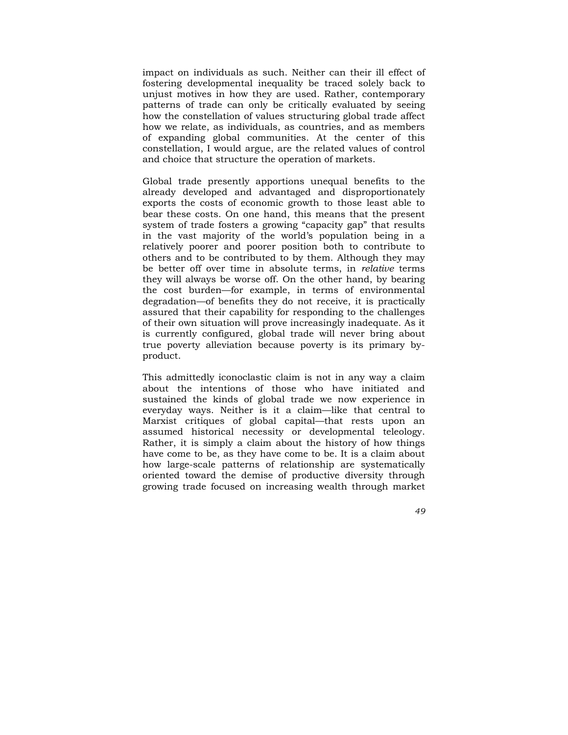impact on individuals as such. Neither can their ill effect of fostering developmental inequality be traced solely back to unjust motives in how they are used. Rather, contemporary patterns of trade can only be critically evaluated by seeing how the constellation of values structuring global trade affect how we relate, as individuals, as countries, and as members of expanding global communities. At the center of this constellation, I would argue, are the related values of control and choice that structure the operation of markets.

Global trade presently apportions unequal benefits to the already developed and advantaged and disproportionately exports the costs of economic growth to those least able to bear these costs. On one hand, this means that the present system of trade fosters a growing "capacity gap" that results in the vast majority of the world's population being in a relatively poorer and poorer position both to contribute to others and to be contributed to by them. Although they may be better off over time in absolute terms, in *relative* terms they will always be worse off. On the other hand, by bearing the cost burden—for example, in terms of environmental degradation—of benefits they do not receive, it is practically assured that their capability for responding to the challenges of their own situation will prove increasingly inadequate. As it is currently configured, global trade will never bring about true poverty alleviation because poverty is its primary byproduct.

This admittedly iconoclastic claim is not in any way a claim about the intentions of those who have initiated and sustained the kinds of global trade we now experience in everyday ways. Neither is it a claim—like that central to Marxist critiques of global capital—that rests upon an assumed historical necessity or developmental teleology. Rather, it is simply a claim about the history of how things have come to be, as they have come to be. It is a claim about how large-scale patterns of relationship are systematically oriented toward the demise of productive diversity through growing trade focused on increasing wealth through market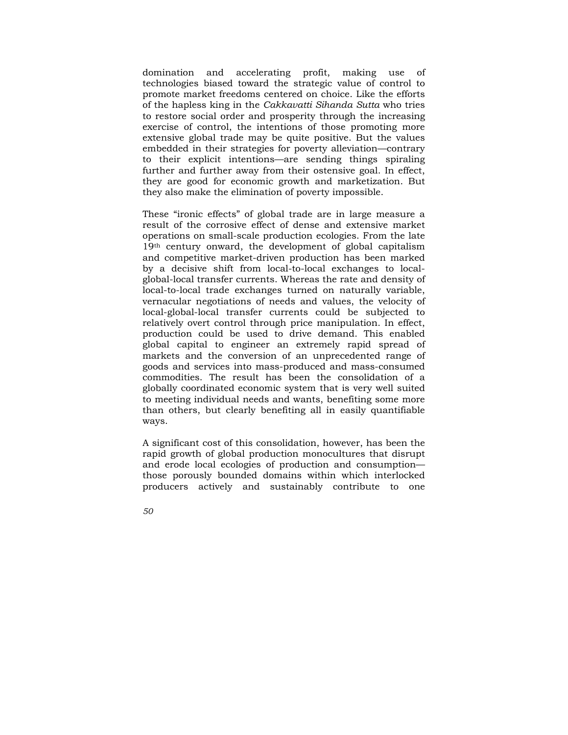domination and accelerating profit, making use of technologies biased toward the strategic value of control to promote market freedoms centered on choice. Like the efforts of the hapless king in the *Cakkavatti Sihanda Sutta* who tries to restore social order and prosperity through the increasing exercise of control, the intentions of those promoting more extensive global trade may be quite positive. But the values embedded in their strategies for poverty alleviation—contrary to their explicit intentions—are sending things spiraling further and further away from their ostensive goal. In effect, they are good for economic growth and marketization. But they also make the elimination of poverty impossible.

These "ironic effects" of global trade are in large measure a result of the corrosive effect of dense and extensive market operations on small-scale production ecologies. From the late 19th century onward, the development of global capitalism and competitive market-driven production has been marked by a decisive shift from local-to-local exchanges to localglobal-local transfer currents. Whereas the rate and density of local-to-local trade exchanges turned on naturally variable, vernacular negotiations of needs and values, the velocity of local-global-local transfer currents could be subjected to relatively overt control through price manipulation. In effect, production could be used to drive demand. This enabled global capital to engineer an extremely rapid spread of markets and the conversion of an unprecedented range of goods and services into mass-produced and mass-consumed commodities. The result has been the consolidation of a globally coordinated economic system that is very well suited to meeting individual needs and wants, benefiting some more than others, but clearly benefiting all in easily quantifiable ways.

A significant cost of this consolidation, however, has been the rapid growth of global production monocultures that disrupt and erode local ecologies of production and consumption those porously bounded domains within which interlocked producers actively and sustainably contribute to one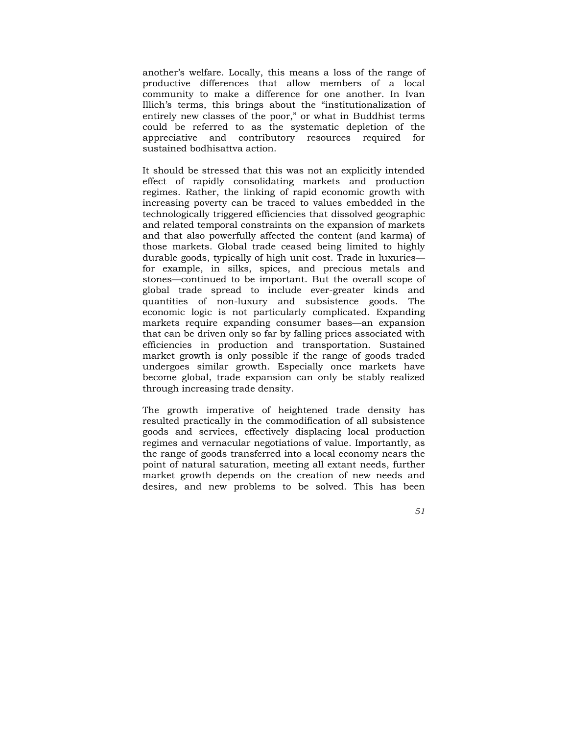another's welfare. Locally, this means a loss of the range of productive differences that allow members of a local community to make a difference for one another. In Ivan Illich's terms, this brings about the "institutionalization of entirely new classes of the poor," or what in Buddhist terms could be referred to as the systematic depletion of the appreciative and contributory resources required for sustained bodhisattva action.

It should be stressed that this was not an explicitly intended effect of rapidly consolidating markets and production regimes. Rather, the linking of rapid economic growth with increasing poverty can be traced to values embedded in the technologically triggered efficiencies that dissolved geographic and related temporal constraints on the expansion of markets and that also powerfully affected the content (and karma) of those markets. Global trade ceased being limited to highly durable goods, typically of high unit cost. Trade in luxuries for example, in silks, spices, and precious metals and stones—continued to be important. But the overall scope of global trade spread to include ever-greater kinds and quantities of non-luxury and subsistence goods. The economic logic is not particularly complicated. Expanding markets require expanding consumer bases—an expansion that can be driven only so far by falling prices associated with efficiencies in production and transportation. Sustained market growth is only possible if the range of goods traded undergoes similar growth. Especially once markets have become global, trade expansion can only be stably realized through increasing trade density.

The growth imperative of heightened trade density has resulted practically in the commodification of all subsistence goods and services, effectively displacing local production regimes and vernacular negotiations of value. Importantly, as the range of goods transferred into a local economy nears the point of natural saturation, meeting all extant needs, further market growth depends on the creation of new needs and desires, and new problems to be solved. This has been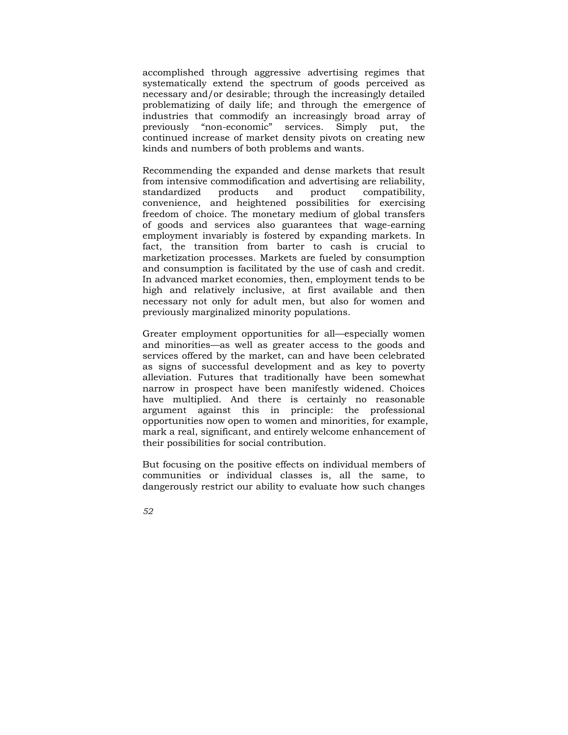accomplished through aggressive advertising regimes that systematically extend the spectrum of goods perceived as necessary and/or desirable; through the increasingly detailed problematizing of daily life; and through the emergence of industries that commodify an increasingly broad array of previously "non-economic" services. Simply put, the continued increase of market density pivots on creating new kinds and numbers of both problems and wants.

Recommending the expanded and dense markets that result from intensive commodification and advertising are reliability, standardized products and product compatibility, convenience, and heightened possibilities for exercising freedom of choice. The monetary medium of global transfers of goods and services also guarantees that wage-earning employment invariably is fostered by expanding markets. In fact, the transition from barter to cash is crucial to marketization processes. Markets are fueled by consumption and consumption is facilitated by the use of cash and credit. In advanced market economies, then, employment tends to be high and relatively inclusive, at first available and then necessary not only for adult men, but also for women and previously marginalized minority populations.

Greater employment opportunities for all—especially women and minorities—as well as greater access to the goods and services offered by the market, can and have been celebrated as signs of successful development and as key to poverty alleviation. Futures that traditionally have been somewhat narrow in prospect have been manifestly widened. Choices have multiplied. And there is certainly no reasonable argument against this in principle: the professional opportunities now open to women and minorities, for example, mark a real, significant, and entirely welcome enhancement of their possibilities for social contribution.

But focusing on the positive effects on individual members of communities or individual classes is, all the same, to dangerously restrict our ability to evaluate how such changes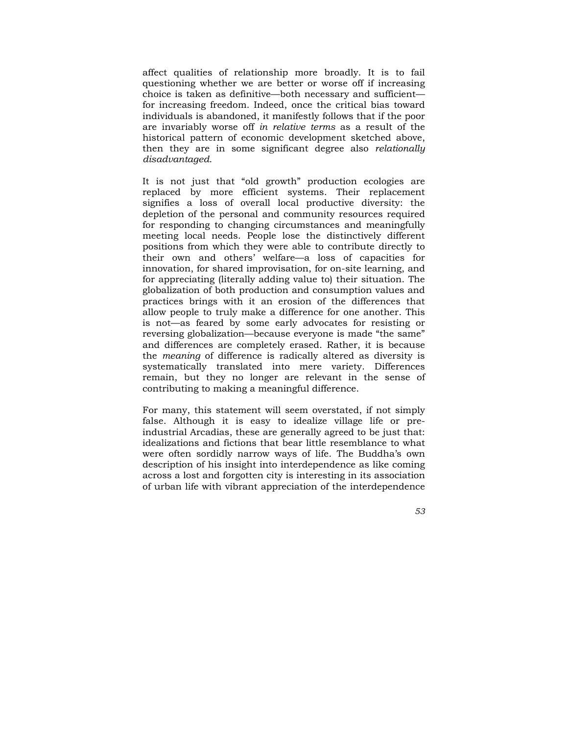affect qualities of relationship more broadly. It is to fail questioning whether we are better or worse off if increasing choice is taken as definitive—both necessary and sufficient for increasing freedom. Indeed, once the critical bias toward individuals is abandoned, it manifestly follows that if the poor are invariably worse off *in relative terms* as a result of the historical pattern of economic development sketched above, then they are in some significant degree also *relationally disadvantaged*.

It is not just that "old growth" production ecologies are replaced by more efficient systems. Their replacement signifies a loss of overall local productive diversity: the depletion of the personal and community resources required for responding to changing circumstances and meaningfully meeting local needs. People lose the distinctively different positions from which they were able to contribute directly to their own and others' welfare—a loss of capacities for innovation, for shared improvisation, for on-site learning, and for appreciating (literally adding value to) their situation. The globalization of both production and consumption values and practices brings with it an erosion of the differences that allow people to truly make a difference for one another. This is not—as feared by some early advocates for resisting or reversing globalization—because everyone is made "the same" and differences are completely erased. Rather, it is because the *meaning* of difference is radically altered as diversity is systematically translated into mere variety. Differences remain, but they no longer are relevant in the sense of contributing to making a meaningful difference.

For many, this statement will seem overstated, if not simply false. Although it is easy to idealize village life or preindustrial Arcadias, these are generally agreed to be just that: idealizations and fictions that bear little resemblance to what were often sordidly narrow ways of life. The Buddha's own description of his insight into interdependence as like coming across a lost and forgotten city is interesting in its association of urban life with vibrant appreciation of the interdependence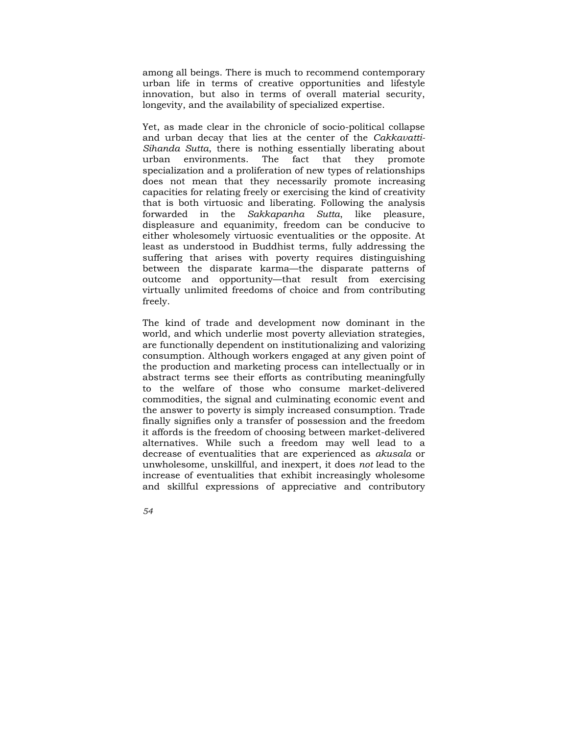among all beings. There is much to recommend contemporary urban life in terms of creative opportunities and lifestyle innovation, but also in terms of overall material security, longevity, and the availability of specialized expertise.

Yet, as made clear in the chronicle of socio-political collapse and urban decay that lies at the center of the *Cakkavatti-Sihanda Sutta*, there is nothing essentially liberating about urban environments. The fact that they promote specialization and a proliferation of new types of relationships does not mean that they necessarily promote increasing capacities for relating freely or exercising the kind of creativity that is both virtuosic and liberating. Following the analysis forwarded in the *Sakkapanha Sutta*, like pleasure, displeasure and equanimity, freedom can be conducive to either wholesomely virtuosic eventualities or the opposite. At least as understood in Buddhist terms, fully addressing the suffering that arises with poverty requires distinguishing between the disparate karma—the disparate patterns of outcome and opportunity—that result from exercising virtually unlimited freedoms of choice and from contributing freely.

The kind of trade and development now dominant in the world, and which underlie most poverty alleviation strategies, are functionally dependent on institutionalizing and valorizing consumption. Although workers engaged at any given point of the production and marketing process can intellectually or in abstract terms see their efforts as contributing meaningfully to the welfare of those who consume market-delivered commodities, the signal and culminating economic event and the answer to poverty is simply increased consumption. Trade finally signifies only a transfer of possession and the freedom it affords is the freedom of choosing between market-delivered alternatives. While such a freedom may well lead to a decrease of eventualities that are experienced as *akusala* or unwholesome, unskillful, and inexpert, it does *not* lead to the increase of eventualities that exhibit increasingly wholesome and skillful expressions of appreciative and contributory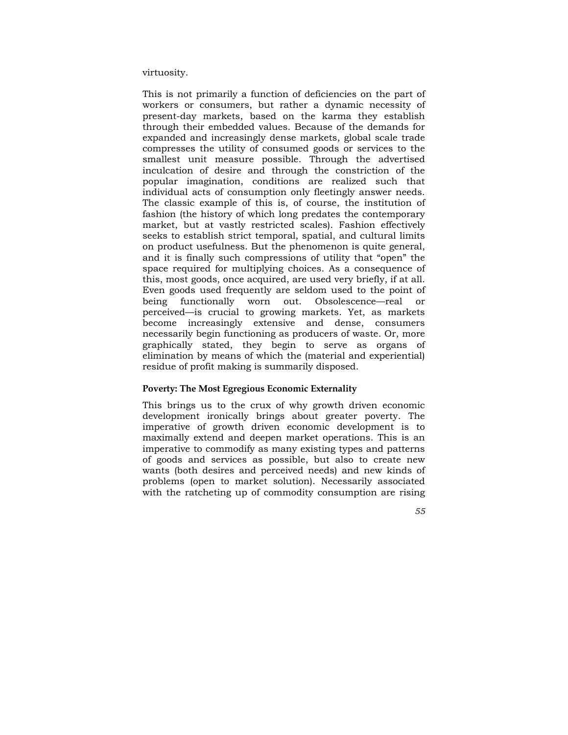virtuosity.

This is not primarily a function of deficiencies on the part of workers or consumers, but rather a dynamic necessity of present-day markets, based on the karma they establish through their embedded values. Because of the demands for expanded and increasingly dense markets, global scale trade compresses the utility of consumed goods or services to the smallest unit measure possible. Through the advertised inculcation of desire and through the constriction of the popular imagination, conditions are realized such that individual acts of consumption only fleetingly answer needs. The classic example of this is, of course, the institution of fashion (the history of which long predates the contemporary market, but at vastly restricted scales). Fashion effectively seeks to establish strict temporal, spatial, and cultural limits on product usefulness. But the phenomenon is quite general, and it is finally such compressions of utility that "open" the space required for multiplying choices. As a consequence of this, most goods, once acquired, are used very briefly, if at all. Even goods used frequently are seldom used to the point of being functionally worn out. Obsolescence—real or perceived—is crucial to growing markets. Yet, as markets become increasingly extensive and dense, consumers necessarily begin functioning as producers of waste. Or, more graphically stated, they begin to serve as organs of elimination by means of which the (material and experiential) residue of profit making is summarily disposed.

#### **Poverty: The Most Egregious Economic Externality**

This brings us to the crux of why growth driven economic development ironically brings about greater poverty. The imperative of growth driven economic development is to maximally extend and deepen market operations. This is an imperative to commodify as many existing types and patterns of goods and services as possible, but also to create new wants (both desires and perceived needs) and new kinds of problems (open to market solution). Necessarily associated with the ratcheting up of commodity consumption are rising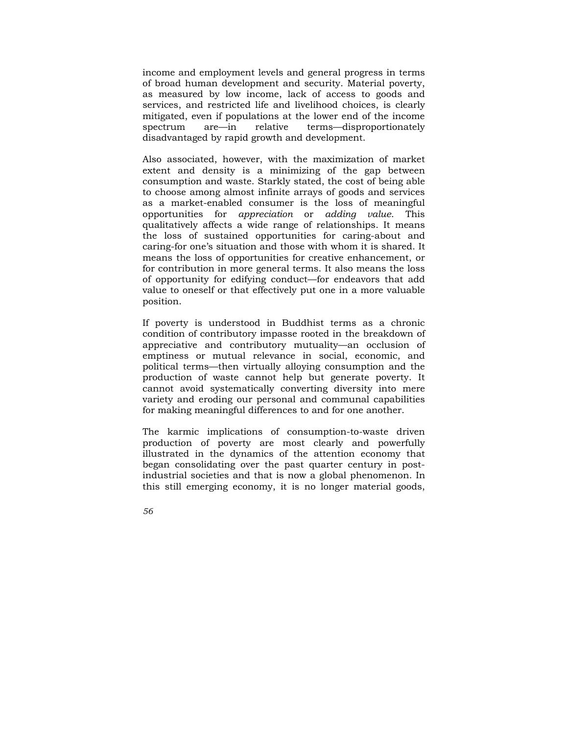income and employment levels and general progress in terms of broad human development and security. Material poverty, as measured by low income, lack of access to goods and services, and restricted life and livelihood choices, is clearly mitigated, even if populations at the lower end of the income spectrum are—in relative terms—disproportionately disadvantaged by rapid growth and development.

Also associated, however, with the maximization of market extent and density is a minimizing of the gap between consumption and waste. Starkly stated, the cost of being able to choose among almost infinite arrays of goods and services as a market-enabled consumer is the loss of meaningful opportunities for *appreciation* or *adding value*. This qualitatively affects a wide range of relationships. It means the loss of sustained opportunities for caring-about and caring-for one's situation and those with whom it is shared. It means the loss of opportunities for creative enhancement, or for contribution in more general terms. It also means the loss of opportunity for edifying conduct—for endeavors that add value to oneself or that effectively put one in a more valuable position.

If poverty is understood in Buddhist terms as a chronic condition of contributory impasse rooted in the breakdown of appreciative and contributory mutuality—an occlusion of emptiness or mutual relevance in social, economic, and political terms—then virtually alloying consumption and the production of waste cannot help but generate poverty. It cannot avoid systematically converting diversity into mere variety and eroding our personal and communal capabilities for making meaningful differences to and for one another.

The karmic implications of consumption-to-waste driven production of poverty are most clearly and powerfully illustrated in the dynamics of the attention economy that began consolidating over the past quarter century in postindustrial societies and that is now a global phenomenon. In this still emerging economy, it is no longer material goods,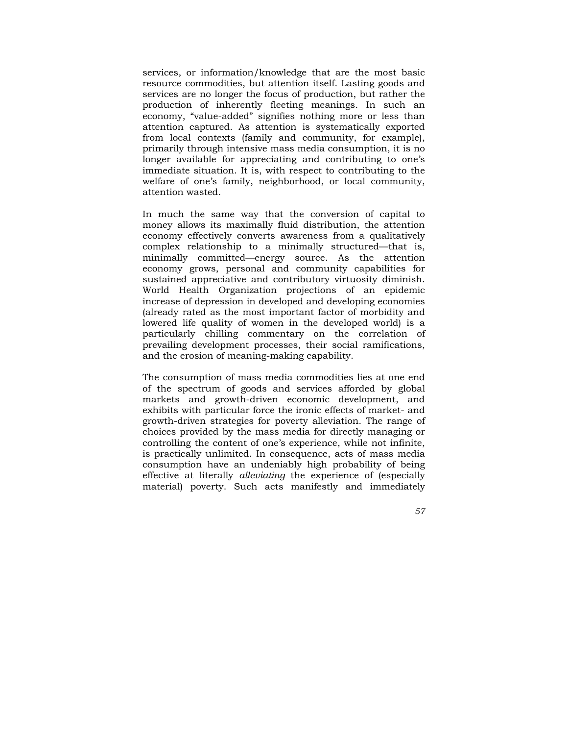services, or information/knowledge that are the most basic resource commodities, but attention itself. Lasting goods and services are no longer the focus of production, but rather the production of inherently fleeting meanings. In such an economy, "value-added" signifies nothing more or less than attention captured. As attention is systematically exported from local contexts (family and community, for example), primarily through intensive mass media consumption, it is no longer available for appreciating and contributing to one's immediate situation. It is, with respect to contributing to the welfare of one's family, neighborhood, or local community, attention wasted.

In much the same way that the conversion of capital to money allows its maximally fluid distribution, the attention economy effectively converts awareness from a qualitatively complex relationship to a minimally structured—that is, minimally committed—energy source. As the attention economy grows, personal and community capabilities for sustained appreciative and contributory virtuosity diminish. World Health Organization projections of an epidemic increase of depression in developed and developing economies (already rated as the most important factor of morbidity and lowered life quality of women in the developed world) is a particularly chilling commentary on the correlation of prevailing development processes, their social ramifications, and the erosion of meaning-making capability.

The consumption of mass media commodities lies at one end of the spectrum of goods and services afforded by global markets and growth-driven economic development, and exhibits with particular force the ironic effects of market- and growth-driven strategies for poverty alleviation. The range of choices provided by the mass media for directly managing or controlling the content of one's experience, while not infinite, is practically unlimited. In consequence, acts of mass media consumption have an undeniably high probability of being effective at literally *alleviating* the experience of (especially material) poverty. Such acts manifestly and immediately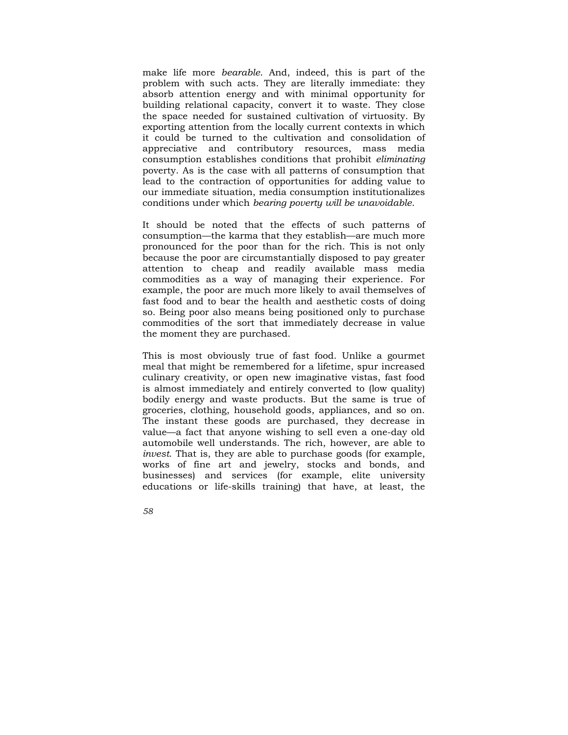make life more *bearable*. And, indeed, this is part of the problem with such acts. They are literally immediate: they absorb attention energy and with minimal opportunity for building relational capacity, convert it to waste. They close the space needed for sustained cultivation of virtuosity. By exporting attention from the locally current contexts in which it could be turned to the cultivation and consolidation of appreciative and contributory resources, mass media consumption establishes conditions that prohibit *eliminating* poverty. As is the case with all patterns of consumption that lead to the contraction of opportunities for adding value to our immediate situation, media consumption institutionalizes conditions under which *bearing poverty will be unavoidable*.

It should be noted that the effects of such patterns of consumption—the karma that they establish—are much more pronounced for the poor than for the rich. This is not only because the poor are circumstantially disposed to pay greater attention to cheap and readily available mass media commodities as a way of managing their experience. For example, the poor are much more likely to avail themselves of fast food and to bear the health and aesthetic costs of doing so. Being poor also means being positioned only to purchase commodities of the sort that immediately decrease in value the moment they are purchased.

This is most obviously true of fast food. Unlike a gourmet meal that might be remembered for a lifetime, spur increased culinary creativity, or open new imaginative vistas, fast food is almost immediately and entirely converted to (low quality) bodily energy and waste products. But the same is true of groceries, clothing, household goods, appliances, and so on. The instant these goods are purchased, they decrease in value—a fact that anyone wishing to sell even a one-day old automobile well understands. The rich, however, are able to *invest*. That is, they are able to purchase goods (for example, works of fine art and jewelry, stocks and bonds, and businesses) and services (for example, elite university educations or life-skills training) that have, at least, the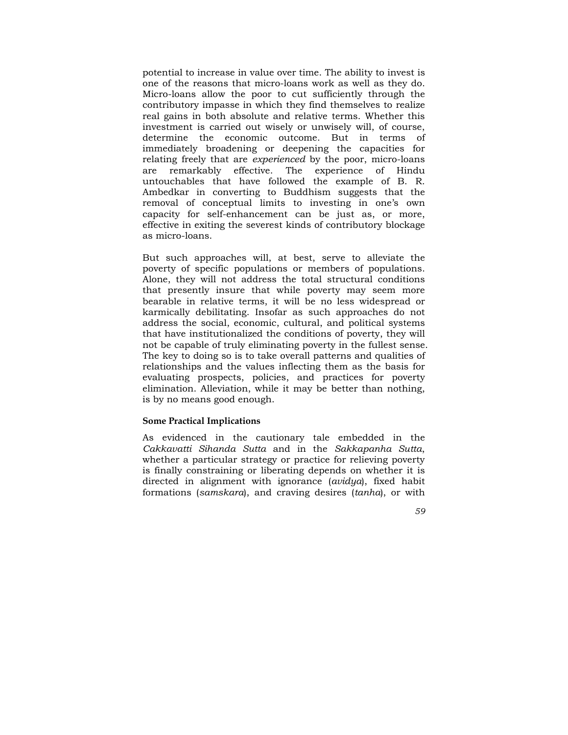potential to increase in value over time. The ability to invest is one of the reasons that micro-loans work as well as they do. Micro-loans allow the poor to cut sufficiently through the contributory impasse in which they find themselves to realize real gains in both absolute and relative terms. Whether this investment is carried out wisely or unwisely will, of course, determine the economic outcome. But in terms of immediately broadening or deepening the capacities for relating freely that are *experienced* by the poor, micro-loans are remarkably effective. The experience of Hindu untouchables that have followed the example of B. R. Ambedkar in converting to Buddhism suggests that the removal of conceptual limits to investing in one's own capacity for self-enhancement can be just as, or more, effective in exiting the severest kinds of contributory blockage as micro-loans.

But such approaches will, at best, serve to alleviate the poverty of specific populations or members of populations. Alone, they will not address the total structural conditions that presently insure that while poverty may seem more bearable in relative terms, it will be no less widespread or karmically debilitating. Insofar as such approaches do not address the social, economic, cultural, and political systems that have institutionalized the conditions of poverty, they will not be capable of truly eliminating poverty in the fullest sense. The key to doing so is to take overall patterns and qualities of relationships and the values inflecting them as the basis for evaluating prospects, policies, and practices for poverty elimination. Alleviation, while it may be better than nothing, is by no means good enough.

#### **Some Practical Implications**

As evidenced in the cautionary tale embedded in the *Cakkavatti Sihanda Sutta* and in the *Sakkapanha Sutta*, whether a particular strategy or practice for relieving poverty is finally constraining or liberating depends on whether it is directed in alignment with ignorance (*avidya*), fixed habit formations (*samskara*), and craving desires (*tanha*), or with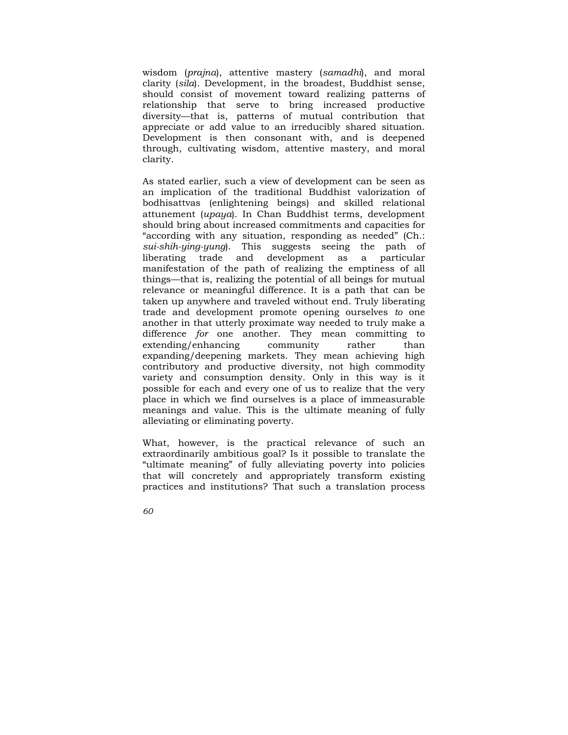wisdom (*prajna*), attentive mastery (*samadhi*), and moral clarity (*sila*). Development, in the broadest, Buddhist sense, should consist of movement toward realizing patterns of relationship that serve to bring increased productive diversity—that is, patterns of mutual contribution that appreciate or add value to an irreducibly shared situation. Development is then consonant with, and is deepened through, cultivating wisdom, attentive mastery, and moral clarity.

As stated earlier, such a view of development can be seen as an implication of the traditional Buddhist valorization of bodhisattvas (enlightening beings) and skilled relational attunement (*upaya*). In Chan Buddhist terms, development should bring about increased commitments and capacities for "according with any situation, responding as needed" (Ch.: *sui-shih-ying-yung*). This suggests seeing the path of liberating trade and development as a particular manifestation of the path of realizing the emptiness of all things—that is, realizing the potential of all beings for mutual relevance or meaningful difference. It is a path that can be taken up anywhere and traveled without end. Truly liberating trade and development promote opening ourselves *to* one another in that utterly proximate way needed to truly make a difference *for* one another. They mean committing to extending/enhancing community rather than expanding/deepening markets. They mean achieving high contributory and productive diversity, not high commodity variety and consumption density. Only in this way is it possible for each and every one of us to realize that the very place in which we find ourselves is a place of immeasurable meanings and value. This is the ultimate meaning of fully alleviating or eliminating poverty.

What, however, is the practical relevance of such an extraordinarily ambitious goal? Is it possible to translate the "ultimate meaning" of fully alleviating poverty into policies that will concretely and appropriately transform existing practices and institutions? That such a translation process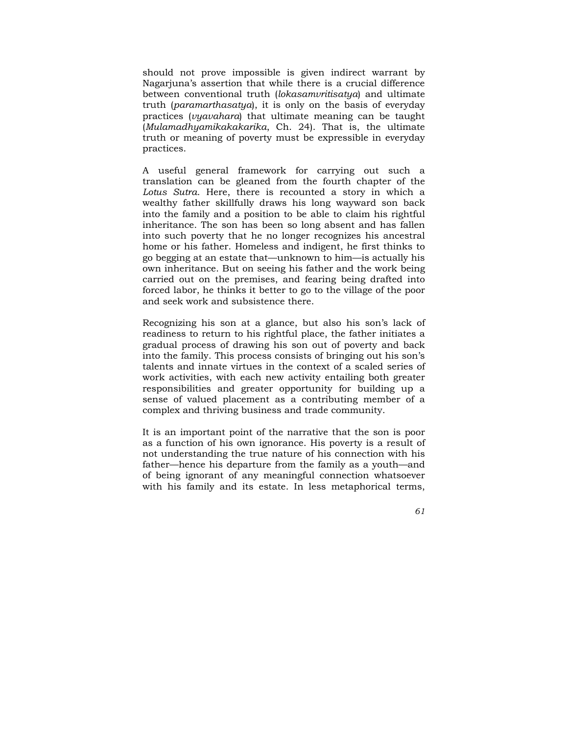should not prove impossible is given indirect warrant by Nagarjuna's assertion that while there is a crucial difference between conventional truth (*lokasamvritisatya*) and ultimate truth (*paramarthasatya*), it is only on the basis of everyday practices (*vyavahara*) that ultimate meaning can be taught (*Mulamadhyamikakakarika*, Ch. 24). That is, the ultimate truth or meaning of poverty must be expressible in everyday practices.

A useful general framework for carrying out such a translation can be gleaned from the fourth chapter of the *Lotus Sutra*. Here, there is recounted a story in which a wealthy father skillfully draws his long wayward son back into the family and a position to be able to claim his rightful inheritance. The son has been so long absent and has fallen into such poverty that he no longer recognizes his ancestral home or his father. Homeless and indigent, he first thinks to go begging at an estate that—unknown to him—is actually his own inheritance. But on seeing his father and the work being carried out on the premises, and fearing being drafted into forced labor, he thinks it better to go to the village of the poor and seek work and subsistence there.

Recognizing his son at a glance, but also his son's lack of readiness to return to his rightful place, the father initiates a gradual process of drawing his son out of poverty and back into the family. This process consists of bringing out his son's talents and innate virtues in the context of a scaled series of work activities, with each new activity entailing both greater responsibilities and greater opportunity for building up a sense of valued placement as a contributing member of a complex and thriving business and trade community.

It is an important point of the narrative that the son is poor as a function of his own ignorance. His poverty is a result of not understanding the true nature of his connection with his father—hence his departure from the family as a youth—and of being ignorant of any meaningful connection whatsoever with his family and its estate. In less metaphorical terms,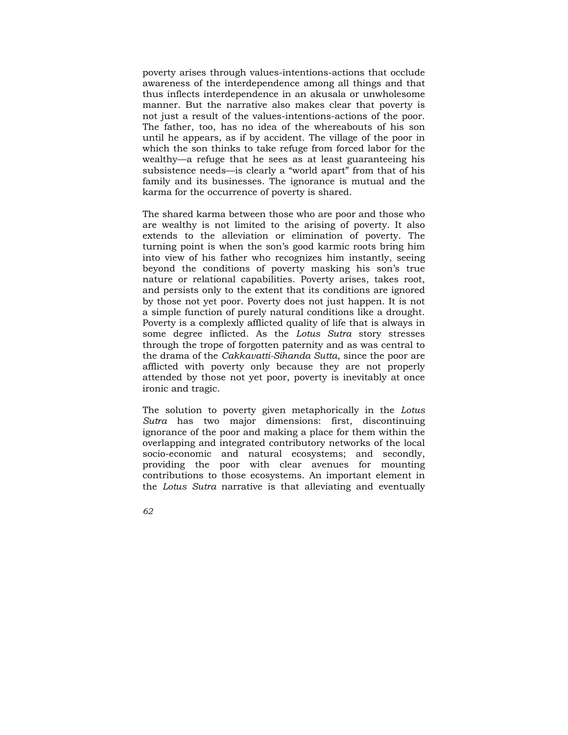poverty arises through values-intentions-actions that occlude awareness of the interdependence among all things and that thus inflects interdependence in an akusala or unwholesome manner. But the narrative also makes clear that poverty is not just a result of the values-intentions-actions of the poor. The father, too, has no idea of the whereabouts of his son until he appears, as if by accident. The village of the poor in which the son thinks to take refuge from forced labor for the wealthy—a refuge that he sees as at least guaranteeing his subsistence needs—is clearly a "world apart" from that of his family and its businesses. The ignorance is mutual and the karma for the occurrence of poverty is shared.

The shared karma between those who are poor and those who are wealthy is not limited to the arising of poverty. It also extends to the alleviation or elimination of poverty. The turning point is when the son's good karmic roots bring him into view of his father who recognizes him instantly, seeing beyond the conditions of poverty masking his son's true nature or relational capabilities. Poverty arises, takes root, and persists only to the extent that its conditions are ignored by those not yet poor. Poverty does not just happen. It is not a simple function of purely natural conditions like a drought. Poverty is a complexly afflicted quality of life that is always in some degree inflicted. As the *Lotus Sutra* story stresses through the trope of forgotten paternity and as was central to the drama of the *Cakkavatti-Sihanda Sutta*, since the poor are afflicted with poverty only because they are not properly attended by those not yet poor, poverty is inevitably at once ironic and tragic.

The solution to poverty given metaphorically in the *Lotus Sutra* has two major dimensions: first, discontinuing ignorance of the poor and making a place for them within the overlapping and integrated contributory networks of the local socio-economic and natural ecosystems; and secondly, providing the poor with clear avenues for mounting contributions to those ecosystems. An important element in the *Lotus Sutra* narrative is that alleviating and eventually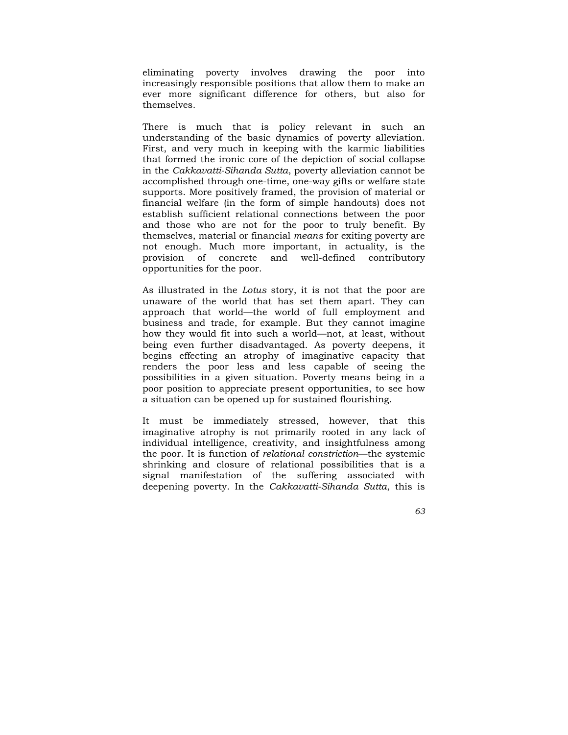eliminating poverty involves drawing the poor into increasingly responsible positions that allow them to make an ever more significant difference for others, but also for themselves.

There is much that is policy relevant in such an understanding of the basic dynamics of poverty alleviation. First, and very much in keeping with the karmic liabilities that formed the ironic core of the depiction of social collapse in the *Cakkavatti-Sihanda Sutta*, poverty alleviation cannot be accomplished through one-time, one-way gifts or welfare state supports. More positively framed, the provision of material or financial welfare (in the form of simple handouts) does not establish sufficient relational connections between the poor and those who are not for the poor to truly benefit. By themselves, material or financial *means* for exiting poverty are not enough. Much more important, in actuality, is the provision of concrete and well-defined contributory opportunities for the poor.

As illustrated in the *Lotus* story, it is not that the poor are unaware of the world that has set them apart. They can approach that world—the world of full employment and business and trade, for example. But they cannot imagine how they would fit into such a world—not, at least, without being even further disadvantaged. As poverty deepens, it begins effecting an atrophy of imaginative capacity that renders the poor less and less capable of seeing the possibilities in a given situation. Poverty means being in a poor position to appreciate present opportunities, to see how a situation can be opened up for sustained flourishing.

It must be immediately stressed, however, that this imaginative atrophy is not primarily rooted in any lack of individual intelligence, creativity, and insightfulness among the poor. It is function of *relational constriction*—the systemic shrinking and closure of relational possibilities that is a signal manifestation of the suffering associated with deepening poverty. In the *Cakkavatti-Sihanda Sutta*, this is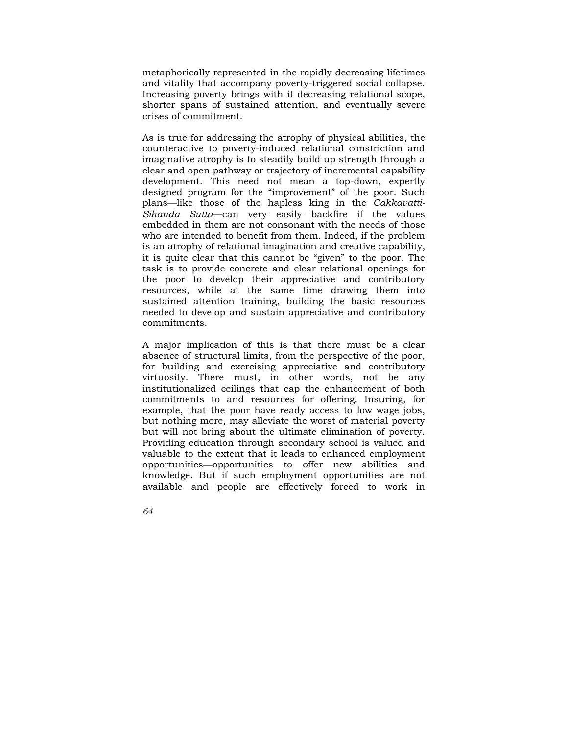metaphorically represented in the rapidly decreasing lifetimes and vitality that accompany poverty-triggered social collapse. Increasing poverty brings with it decreasing relational scope, shorter spans of sustained attention, and eventually severe crises of commitment.

As is true for addressing the atrophy of physical abilities, the counteractive to poverty-induced relational constriction and imaginative atrophy is to steadily build up strength through a clear and open pathway or trajectory of incremental capability development. This need not mean a top-down, expertly designed program for the "improvement" of the poor. Such plans—like those of the hapless king in the *Cakkavatti-Sihanda Sutta*—can very easily backfire if the values embedded in them are not consonant with the needs of those who are intended to benefit from them. Indeed, if the problem is an atrophy of relational imagination and creative capability, it is quite clear that this cannot be "given" to the poor. The task is to provide concrete and clear relational openings for the poor to develop their appreciative and contributory resources, while at the same time drawing them into sustained attention training, building the basic resources needed to develop and sustain appreciative and contributory commitments.

A major implication of this is that there must be a clear absence of structural limits, from the perspective of the poor, for building and exercising appreciative and contributory virtuosity. There must, in other words, not be any institutionalized ceilings that cap the enhancement of both commitments to and resources for offering. Insuring, for example, that the poor have ready access to low wage jobs, but nothing more, may alleviate the worst of material poverty but will not bring about the ultimate elimination of poverty. Providing education through secondary school is valued and valuable to the extent that it leads to enhanced employment opportunities—opportunities to offer new abilities and knowledge. But if such employment opportunities are not available and people are effectively forced to work in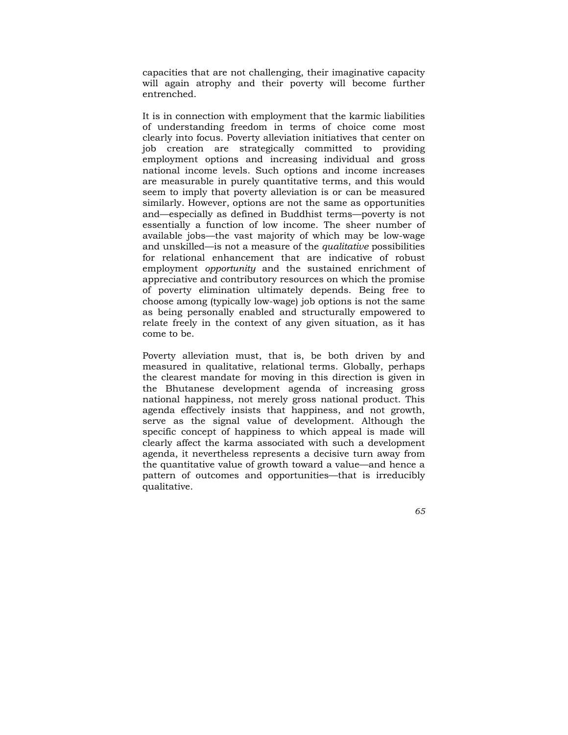capacities that are not challenging, their imaginative capacity will again atrophy and their poverty will become further entrenched.

It is in connection with employment that the karmic liabilities of understanding freedom in terms of choice come most clearly into focus. Poverty alleviation initiatives that center on job creation are strategically committed to providing employment options and increasing individual and gross national income levels. Such options and income increases are measurable in purely quantitative terms, and this would seem to imply that poverty alleviation is or can be measured similarly. However, options are not the same as opportunities and—especially as defined in Buddhist terms—poverty is not essentially a function of low income. The sheer number of available jobs—the vast majority of which may be low-wage and unskilled—is not a measure of the *qualitative* possibilities for relational enhancement that are indicative of robust employment *opportunity* and the sustained enrichment of appreciative and contributory resources on which the promise of poverty elimination ultimately depends. Being free to choose among (typically low-wage) job options is not the same as being personally enabled and structurally empowered to relate freely in the context of any given situation, as it has come to be.

Poverty alleviation must, that is, be both driven by and measured in qualitative, relational terms. Globally, perhaps the clearest mandate for moving in this direction is given in the Bhutanese development agenda of increasing gross national happiness, not merely gross national product. This agenda effectively insists that happiness, and not growth, serve as the signal value of development. Although the specific concept of happiness to which appeal is made will clearly affect the karma associated with such a development agenda, it nevertheless represents a decisive turn away from the quantitative value of growth toward a value—and hence a pattern of outcomes and opportunities—that is irreducibly qualitative.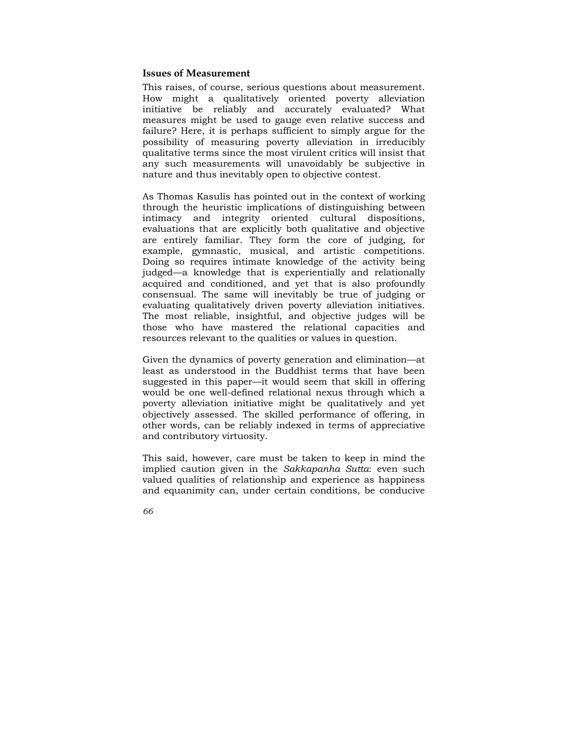### **Issues of Measurement**

This raises, of course, serious questions about measurement. How might a qualitatively oriented poverty alleviation initiative be reliably and accurately evaluated? What measures might be used to gauge even relative success and failure? Here, it is perhaps sufficient to simply argue for the possibility of measuring poverty alleviation in irreducibly qualitative terms since the most virulent critics will insist that any such measurements will unavoidably be subjective in nature and thus inevitably open to objective contest.

As Thomas Kasulis has pointed out in the context of working through the heuristic implications of distinguishing between intimacy and integrity oriented cultural dispositions, evaluations that are explicitly both qualitative and objective are entirely familiar. They form the core of judging, for example, gymnastic, musical, and artistic competitions. Doing so requires intimate knowledge of the activity being judged—a knowledge that is experientially and relationally acquired and conditioned, and yet that is also profoundly consensual. The same will inevitably be true of judging or evaluating qualitatively driven poverty alleviation initiatives. The most reliable, insightful, and objective judges will be those who have mastered the relational capacities and resources relevant to the qualities or values in question.

Given the dynamics of poverty generation and elimination—at least as understood in the Buddhist terms that have been suggested in this paper—it would seem that skill in offering would be one well-defined relational nexus through which a poverty alleviation initiative might be qualitatively and yet objectively assessed. The skilled performance of offering, in other words, can be reliably indexed in terms of appreciative and contributory virtuosity.

This said, however, care must be taken to keep in mind the implied caution given in the *Sakkapanha Sutta*: even such valued qualities of relationship and experience as happiness and equanimity can, under certain conditions, be conducive